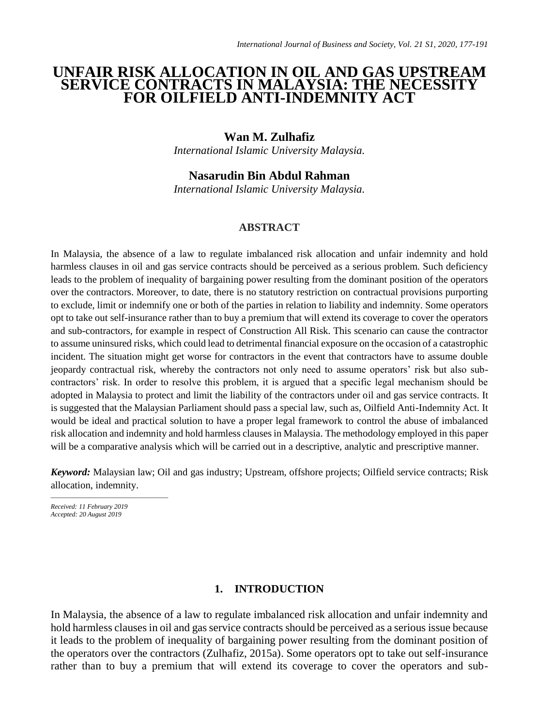# **UNFAIR RISK ALLOCATION IN OIL AND GAS UPSTREAM SERVICE CONTRACTS IN MALAYSIA: THE NECESSITY FOR OILFIELD ANTI-INDEMNITY ACT**

### **Wan M. Zulhafiz**

*International Islamic University Malaysia.*

# **Nasarudin Bin Abdul Rahman**

*International Islamic University Malaysia.*

### **ABSTRACT**

In Malaysia, the absence of a law to regulate imbalanced risk allocation and unfair indemnity and hold harmless clauses in oil and gas service contracts should be perceived as a serious problem. Such deficiency leads to the problem of inequality of bargaining power resulting from the dominant position of the operators over the contractors. Moreover, to date, there is no statutory restriction on contractual provisions purporting to exclude, limit or indemnify one or both of the parties in relation to liability and indemnity. Some operators opt to take out self-insurance rather than to buy a premium that will extend its coverage to cover the operators and sub-contractors, for example in respect of Construction All Risk. This scenario can cause the contractor to assume uninsured risks, which could lead to detrimental financial exposure on the occasion of a catastrophic incident. The situation might get worse for contractors in the event that contractors have to assume double jeopardy contractual risk, whereby the contractors not only need to assume operators' risk but also subcontractors' risk. In order to resolve this problem, it is argued that a specific legal mechanism should be adopted in Malaysia to protect and limit the liability of the contractors under oil and gas service contracts. It is suggested that the Malaysian Parliament should pass a special law, such as, Oilfield Anti-Indemnity Act. It would be ideal and practical solution to have a proper legal framework to control the abuse of imbalanced risk allocation and indemnity and hold harmless clauses in Malaysia. The methodology employed in this paper will be a comparative analysis which will be carried out in a descriptive, analytic and prescriptive manner.

*Keyword:* Malaysian law; Oil and gas industry; Upstream, offshore projects; Oilfield service contracts; Risk allocation, indemnity.

*Received: 11 February 2019 Accepted: 20 August 2019*

 $\frac{1}{2}$  ,  $\frac{1}{2}$  ,  $\frac{1}{2}$  ,  $\frac{1}{2}$  ,  $\frac{1}{2}$  ,  $\frac{1}{2}$  ,  $\frac{1}{2}$  ,  $\frac{1}{2}$  ,  $\frac{1}{2}$  ,  $\frac{1}{2}$  ,  $\frac{1}{2}$  ,  $\frac{1}{2}$  ,  $\frac{1}{2}$  ,  $\frac{1}{2}$  ,  $\frac{1}{2}$  ,  $\frac{1}{2}$  ,  $\frac{1}{2}$  ,  $\frac{1}{2}$  ,  $\frac{1$ 

### **1. INTRODUCTION**

In Malaysia, the absence of a law to regulate imbalanced risk allocation and unfair indemnity and hold harmless clauses in oil and gas service contracts should be perceived as a serious issue because it leads to the problem of inequality of bargaining power resulting from the dominant position of the operators over the contractors (Zulhafiz, 2015a). Some operators opt to take out self-insurance rather than to buy a premium that will extend its coverage to cover the operators and sub-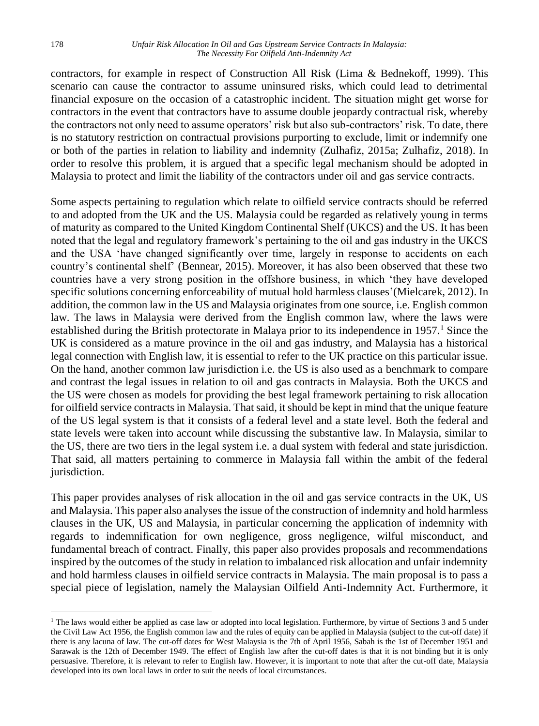#### 178 *Unfair Risk Allocation In Oil and Gas Upstream Service Contracts In Malaysia: The Necessity For Oilfield Anti-Indemnity Act*

contractors, for example in respect of Construction All Risk (Lima & Bednekoff, 1999). This scenario can cause the contractor to assume uninsured risks, which could lead to detrimental financial exposure on the occasion of a catastrophic incident. The situation might get worse for contractors in the event that contractors have to assume double jeopardy contractual risk, whereby the contractors not only need to assume operators' risk but also sub-contractors' risk. To date, there is no statutory restriction on contractual provisions purporting to exclude, limit or indemnify one or both of the parties in relation to liability and indemnity (Zulhafiz, 2015a; Zulhafiz, 2018). In order to resolve this problem, it is argued that a specific legal mechanism should be adopted in Malaysia to protect and limit the liability of the contractors under oil and gas service contracts.

Some aspects pertaining to regulation which relate to oilfield service contracts should be referred to and adopted from the UK and the US. Malaysia could be regarded as relatively young in terms of maturity as compared to the United Kingdom Continental Shelf (UKCS) and the US. It has been noted that the legal and regulatory framework's pertaining to the oil and gas industry in the UKCS and the USA 'have changed significantly over time, largely in response to accidents on each country's continental shelf' (Bennear, 2015). Moreover, it has also been observed that these two countries have a very strong position in the offshore business, in which 'they have developed specific solutions concerning enforceability of mutual hold harmless clauses'(Mielcarek, 2012). In addition, the common law in the US and Malaysia originates from one source, i.e. English common law. The laws in Malaysia were derived from the English common law, where the laws were established during the British protectorate in Malaya prior to its independence in  $1957<sup>1</sup>$  Since the UK is considered as a mature province in the oil and gas industry, and Malaysia has a historical legal connection with English law, it is essential to refer to the UK practice on this particular issue. On the hand, another common law jurisdiction i.e. the US is also used as a benchmark to compare and contrast the legal issues in relation to oil and gas contracts in Malaysia. Both the UKCS and the US were chosen as models for providing the best legal framework pertaining to risk allocation for oilfield service contracts in Malaysia. That said, it should be kept in mind that the unique feature of the US legal system is that it consists of a federal level and a state level. Both the federal and state levels were taken into account while discussing the substantive law. In Malaysia, similar to the US, there are two tiers in the legal system i.e. a dual system with federal and state jurisdiction. That said, all matters pertaining to commerce in Malaysia fall within the ambit of the federal jurisdiction.

This paper provides analyses of risk allocation in the oil and gas service contracts in the UK, US and Malaysia. This paper also analyses the issue of the construction of indemnity and hold harmless clauses in the UK, US and Malaysia, in particular concerning the application of indemnity with regards to indemnification for own negligence, gross negligence, wilful misconduct, and fundamental breach of contract. Finally, this paper also provides proposals and recommendations inspired by the outcomes of the study in relation to imbalanced risk allocation and unfair indemnity and hold harmless clauses in oilfield service contracts in Malaysia. The main proposal is to pass a special piece of legislation, namely the Malaysian Oilfield Anti-Indemnity Act. Furthermore, it

1

<sup>&</sup>lt;sup>1</sup> The laws would either be applied as case law or adopted into local legislation. Furthermore, by virtue of Sections 3 and 5 under the Civil Law Act 1956, the English common law and the rules of equity can be applied in Malaysia (subject to the cut-off date) if there is any lacuna of law. The cut-off dates for West Malaysia is the 7th of April 1956, Sabah is the 1st of December 1951 and Sarawak is the 12th of December 1949. The effect of English law after the cut-off dates is that it is not binding but it is only persuasive. Therefore, it is relevant to refer to English law. However, it is important to note that after the cut-off date, Malaysia developed into its own local laws in order to suit the needs of local circumstances.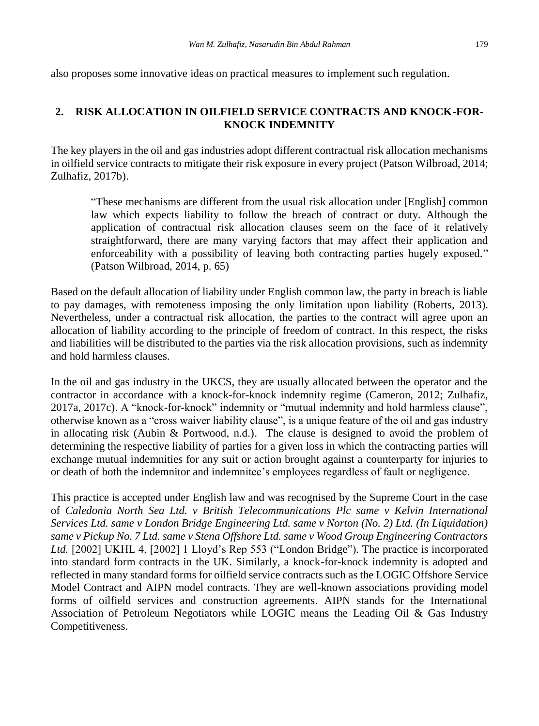also proposes some innovative ideas on practical measures to implement such regulation.

### **2. RISK ALLOCATION IN OILFIELD SERVICE CONTRACTS AND KNOCK-FOR-KNOCK INDEMNITY**

The key players in the oil and gas industries adopt different contractual risk allocation mechanisms in oilfield service contracts to mitigate their risk exposure in every project (Patson Wilbroad, 2014; Zulhafiz, 2017b).

"These mechanisms are different from the usual risk allocation under [English] common law which expects liability to follow the breach of contract or duty. Although the application of contractual risk allocation clauses seem on the face of it relatively straightforward, there are many varying factors that may affect their application and enforceability with a possibility of leaving both contracting parties hugely exposed." (Patson Wilbroad, 2014, p. 65)

Based on the default allocation of liability under English common law, the party in breach is liable to pay damages, with remoteness imposing the only limitation upon liability (Roberts, 2013). Nevertheless, under a contractual risk allocation, the parties to the contract will agree upon an allocation of liability according to the principle of freedom of contract. In this respect, the risks and liabilities will be distributed to the parties via the risk allocation provisions, such as indemnity and hold harmless clauses.

In the oil and gas industry in the UKCS, they are usually allocated between the operator and the contractor in accordance with a knock-for-knock indemnity regime (Cameron, 2012; Zulhafiz, 2017a, 2017c). A "knock-for-knock" indemnity or "mutual indemnity and hold harmless clause", otherwise known as a "cross waiver liability clause", is a unique feature of the oil and gas industry in allocating risk (Aubin & Portwood, n.d.). The clause is designed to avoid the problem of determining the respective liability of parties for a given loss in which the contracting parties will exchange mutual indemnities for any suit or action brought against a counterparty for injuries to or death of both the indemnitor and indemnitee's employees regardless of fault or negligence.

This practice is accepted under English law and was recognised by the Supreme Court in the case of *Caledonia North Sea Ltd. v British Telecommunications Plc same v Kelvin International Services Ltd. same v London Bridge Engineering Ltd. same v Norton (No. 2) Ltd. (In Liquidation) same v Pickup No. 7 Ltd. same v Stena Offshore Ltd. same v Wood Group Engineering Contractors Ltd.* [2002] UKHL 4, [2002] 1 Lloyd's Rep 553 ("London Bridge")*.* The practice is incorporated into standard form contracts in the UK. Similarly, a knock-for-knock indemnity is adopted and reflected in many standard forms for oilfield service contracts such as the LOGIC Offshore Service Model Contract and AIPN model contracts. They are well-known associations providing model forms of oilfield services and construction agreements. AIPN stands for the International Association of Petroleum Negotiators while LOGIC means the Leading Oil & Gas Industry Competitiveness.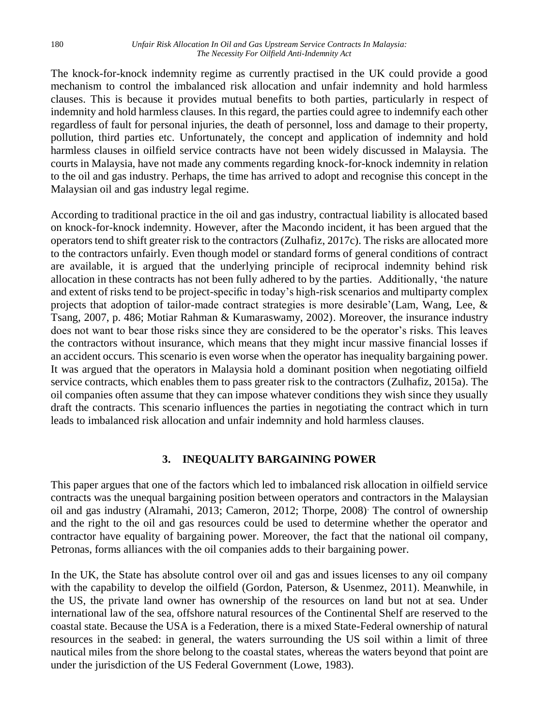#### 180 *Unfair Risk Allocation In Oil and Gas Upstream Service Contracts In Malaysia: The Necessity For Oilfield Anti-Indemnity Act*

The knock-for-knock indemnity regime as currently practised in the UK could provide a good mechanism to control the imbalanced risk allocation and unfair indemnity and hold harmless clauses. This is because it provides mutual benefits to both parties, particularly in respect of indemnity and hold harmless clauses. In this regard, the parties could agree to indemnify each other regardless of fault for personal injuries, the death of personnel, loss and damage to their property, pollution, third parties etc. Unfortunately, the concept and application of indemnity and hold harmless clauses in oilfield service contracts have not been widely discussed in Malaysia. The courts in Malaysia, have not made any comments regarding knock-for-knock indemnity in relation to the oil and gas industry. Perhaps, the time has arrived to adopt and recognise this concept in the Malaysian oil and gas industry legal regime.

According to traditional practice in the oil and gas industry, contractual liability is allocated based on knock-for-knock indemnity. However, after the Macondo incident, it has been argued that the operators tend to shift greater risk to the contractors (Zulhafiz, 2017c). The risks are allocated more to the contractors unfairly. Even though model or standard forms of general conditions of contract are available, it is argued that the underlying principle of reciprocal indemnity behind risk allocation in these contracts has not been fully adhered to by the parties. Additionally, 'the nature and extent of risks tend to be project-specific in today's high-risk scenarios and multiparty complex projects that adoption of tailor-made contract strategies is more desirable'(Lam, Wang, Lee, & Tsang, 2007, p. 486; Motiar Rahman & Kumaraswamy, 2002). Moreover, the insurance industry does not want to bear those risks since they are considered to be the operator's risks. This leaves the contractors without insurance, which means that they might incur massive financial losses if an accident occurs. This scenario is even worse when the operator has inequality bargaining power. It was argued that the operators in Malaysia hold a dominant position when negotiating oilfield service contracts, which enables them to pass greater risk to the contractors (Zulhafiz, 2015a). The oil companies often assume that they can impose whatever conditions they wish since they usually draft the contracts. This scenario influences the parties in negotiating the contract which in turn leads to imbalanced risk allocation and unfair indemnity and hold harmless clauses.

#### **3. INEQUALITY BARGAINING POWER**

This paper argues that one of the factors which led to imbalanced risk allocation in oilfield service contracts was the unequal bargaining position between operators and contractors in the Malaysian oil and gas industry (Alramahi, 2013; Cameron, 2012; Thorpe, 2008). The control of ownership and the right to the oil and gas resources could be used to determine whether the operator and contractor have equality of bargaining power. Moreover, the fact that the national oil company, Petronas, forms alliances with the oil companies adds to their bargaining power.

In the UK, the State has absolute control over oil and gas and issues licenses to any oil company with the capability to develop the oilfield (Gordon, Paterson, & Usenmez, 2011). Meanwhile, in the US, the private land owner has ownership of the resources on land but not at sea. Under international law of the sea, offshore natural resources of the Continental Shelf are reserved to the coastal state. Because the USA is a Federation, there is a mixed State-Federal ownership of natural resources in the seabed: in general, the waters surrounding the US soil within a limit of three nautical miles from the shore belong to the coastal states, whereas the waters beyond that point are under the jurisdiction of the US Federal Government (Lowe, 1983).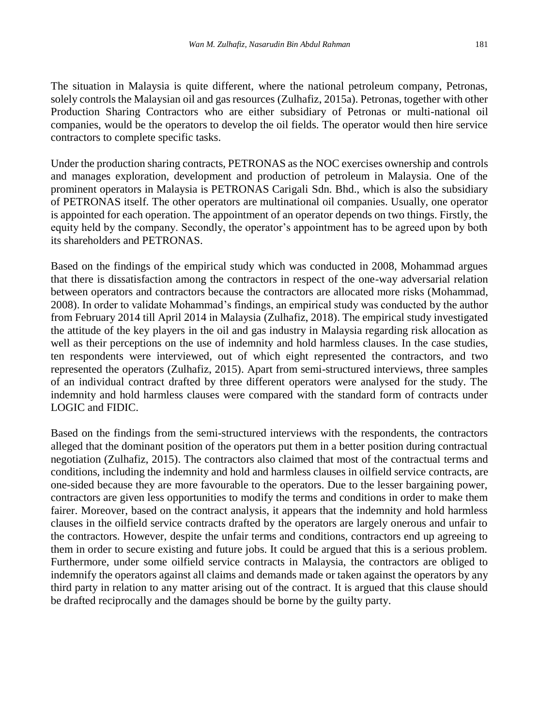The situation in Malaysia is quite different, where the national petroleum company, Petronas, solely controls the Malaysian oil and gas resources (Zulhafiz, 2015a). Petronas, together with other Production Sharing Contractors who are either subsidiary of Petronas or multi-national oil companies, would be the operators to develop the oil fields. The operator would then hire service contractors to complete specific tasks.

Under the production sharing contracts, PETRONAS as the NOC exercises ownership and controls and manages exploration, development and production of petroleum in Malaysia. One of the prominent operators in Malaysia is PETRONAS Carigali Sdn. Bhd., which is also the subsidiary of PETRONAS itself. The other operators are multinational oil companies. Usually, one operator is appointed for each operation. The appointment of an operator depends on two things. Firstly, the equity held by the company. Secondly, the operator's appointment has to be agreed upon by both its shareholders and PETRONAS.

Based on the findings of the empirical study which was conducted in 2008, Mohammad argues that there is dissatisfaction among the contractors in respect of the one-way adversarial relation between operators and contractors because the contractors are allocated more risks (Mohammad, 2008). In order to validate Mohammad's findings, an empirical study was conducted by the author from February 2014 till April 2014 in Malaysia (Zulhafiz, 2018). The empirical study investigated the attitude of the key players in the oil and gas industry in Malaysia regarding risk allocation as well as their perceptions on the use of indemnity and hold harmless clauses. In the case studies, ten respondents were interviewed, out of which eight represented the contractors, and two represented the operators (Zulhafiz, 2015). Apart from semi-structured interviews, three samples of an individual contract drafted by three different operators were analysed for the study. The indemnity and hold harmless clauses were compared with the standard form of contracts under LOGIC and FIDIC.

Based on the findings from the semi-structured interviews with the respondents, the contractors alleged that the dominant position of the operators put them in a better position during contractual negotiation (Zulhafiz, 2015). The contractors also claimed that most of the contractual terms and conditions, including the indemnity and hold and harmless clauses in oilfield service contracts, are one-sided because they are more favourable to the operators. Due to the lesser bargaining power, contractors are given less opportunities to modify the terms and conditions in order to make them fairer. Moreover, based on the contract analysis, it appears that the indemnity and hold harmless clauses in the oilfield service contracts drafted by the operators are largely onerous and unfair to the contractors. However, despite the unfair terms and conditions, contractors end up agreeing to them in order to secure existing and future jobs. It could be argued that this is a serious problem. Furthermore, under some oilfield service contracts in Malaysia, the contractors are obliged to indemnify the operators against all claims and demands made or taken against the operators by any third party in relation to any matter arising out of the contract. It is argued that this clause should be drafted reciprocally and the damages should be borne by the guilty party.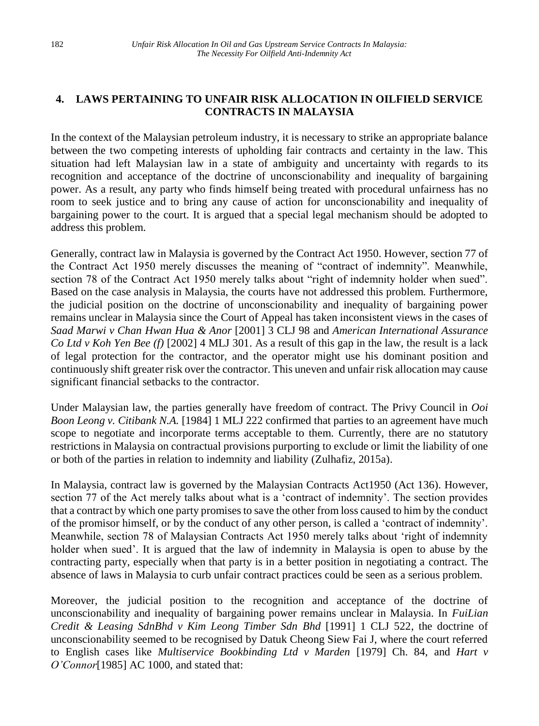## **4. LAWS PERTAINING TO UNFAIR RISK ALLOCATION IN OILFIELD SERVICE CONTRACTS IN MALAYSIA**

In the context of the Malaysian petroleum industry, it is necessary to strike an appropriate balance between the two competing interests of upholding fair contracts and certainty in the law. This situation had left Malaysian law in a state of ambiguity and uncertainty with regards to its recognition and acceptance of the doctrine of unconscionability and inequality of bargaining power. As a result, any party who finds himself being treated with procedural unfairness has no room to seek justice and to bring any cause of action for unconscionability and inequality of bargaining power to the court. It is argued that a special legal mechanism should be adopted to address this problem.

Generally, contract law in Malaysia is governed by the Contract Act 1950. However, section 77 of the Contract Act 1950 merely discusses the meaning of "contract of indemnity". Meanwhile, section 78 of the Contract Act 1950 merely talks about "right of indemnity holder when sued". Based on the case analysis in Malaysia, the courts have not addressed this problem. Furthermore, the judicial position on the doctrine of unconscionability and inequality of bargaining power remains unclear in Malaysia since the Court of Appeal has taken inconsistent views in the cases of *Saad Marwi v Chan Hwan Hua & Anor* [2001] 3 CLJ 98 and *American International Assurance Co Ltd v Koh Yen Bee (f)* [2002] 4 MLJ 301. As a result of this gap in the law, the result is a lack of legal protection for the contractor, and the operator might use his dominant position and continuously shift greater risk over the contractor. This uneven and unfair risk allocation may cause significant financial setbacks to the contractor.

Under Malaysian law, the parties generally have freedom of contract. The Privy Council in *Ooi Boon Leong v. Citibank N.A.* [1984] 1 MLJ 222 confirmed that parties to an agreement have much scope to negotiate and incorporate terms acceptable to them. Currently, there are no statutory restrictions in Malaysia on contractual provisions purporting to exclude or limit the liability of one or both of the parties in relation to indemnity and liability (Zulhafiz, 2015a).

In Malaysia, contract law is governed by the Malaysian Contracts Act1950 (Act 136). However, section 77 of the Act merely talks about what is a 'contract of indemnity'. The section provides that a contract by which one party promises to save the other from loss caused to him by the conduct of the promisor himself, or by the conduct of any other person, is called a 'contract of indemnity'. Meanwhile, section 78 of Malaysian Contracts Act 1950 merely talks about 'right of indemnity holder when sued'. It is argued that the law of indemnity in Malaysia is open to abuse by the contracting party, especially when that party is in a better position in negotiating a contract. The absence of laws in Malaysia to curb unfair contract practices could be seen as a serious problem.

Moreover, the judicial position to the recognition and acceptance of the doctrine of unconscionability and inequality of bargaining power remains unclear in Malaysia. In *FuiLian Credit & Leasing SdnBhd v Kim Leong Timber Sdn Bhd* [1991] 1 CLJ 522, the doctrine of unconscionability seemed to be recognised by Datuk Cheong Siew Fai J, where the court referred to English cases like *Multiservice Bookbinding Ltd v Marden* [1979] Ch. 84, and *Hart v O'Connor*[1985] AC 1000, and stated that: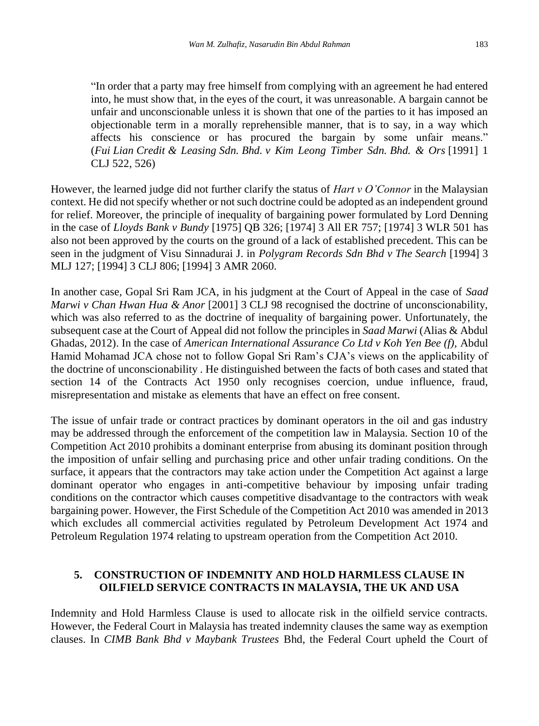"In order that a party may free himself from complying with an agreement he had entered into, he must show that, in the eyes of the court, it was unreasonable. A bargain cannot be unfair and unconscionable unless it is shown that one of the parties to it has imposed an objectionable term in a morally reprehensible manner, that is to say, in a way which affects his conscience or has procured the bargain by some unfair means." (*Fui Lian Credit & Leasing Sdn. Bhd. v Kim Leong Timber Sdn. Bhd. & Ors* [1991] 1 CLJ 522, 526)

However, the learned judge did not further clarify the status of *Hart v O'Connor* in the Malaysian context. He did not specify whether or not such doctrine could be adopted as an independent ground for relief. Moreover, the principle of inequality of bargaining power formulated by Lord Denning in the case of *Lloyds Bank v Bundy* [1975] QB 326; [1974] 3 All ER 757; [1974] 3 WLR 501 has also not been approved by the courts on the ground of a lack of established precedent. This can be seen in the judgment of Visu Sinnadurai J. in *Polygram Records Sdn Bhd v The Search* [1994] 3 MLJ 127; [1994] 3 CLJ 806; [1994] 3 AMR 2060.

In another case, Gopal Sri Ram JCA, in his judgment at the Court of Appeal in the case of *Saad Marwi v Chan Hwan Hua & Anor* [2001] 3 CLJ 98 recognised the doctrine of unconscionability, which was also referred to as the doctrine of inequality of bargaining power. Unfortunately, the subsequent case at the Court of Appeal did not follow the principles in *Saad Marwi* (Alias & Abdul Ghadas, 2012). In the case of *American International Assurance Co Ltd v Koh Yen Bee (f),* Abdul Hamid Mohamad JCA chose not to follow Gopal Sri Ram's CJA's views on the applicability of the doctrine of unconscionability . He distinguished between the facts of both cases and stated that section 14 of the Contracts Act 1950 only recognises coercion, undue influence, fraud, misrepresentation and mistake as elements that have an effect on free consent.

The issue of unfair trade or contract practices by dominant operators in the oil and gas industry may be addressed through the enforcement of the competition law in Malaysia. Section 10 of the Competition Act 2010 prohibits a dominant enterprise from abusing its dominant position through the imposition of unfair selling and purchasing price and other unfair trading conditions. On the surface, it appears that the contractors may take action under the Competition Act against a large dominant operator who engages in anti-competitive behaviour by imposing unfair trading conditions on the contractor which causes competitive disadvantage to the contractors with weak bargaining power. However, the First Schedule of the Competition Act 2010 was amended in 2013 which excludes all commercial activities regulated by Petroleum Development Act 1974 and Petroleum Regulation 1974 relating to upstream operation from the Competition Act 2010.

## **5. CONSTRUCTION OF INDEMNITY AND HOLD HARMLESS CLAUSE IN OILFIELD SERVICE CONTRACTS IN MALAYSIA, THE UK AND USA**

Indemnity and Hold Harmless Clause is used to allocate risk in the oilfield service contracts. However, the Federal Court in Malaysia has treated indemnity clauses the same way as exemption clauses. In *CIMB Bank Bhd v Maybank Trustees* Bhd, the Federal Court upheld the Court of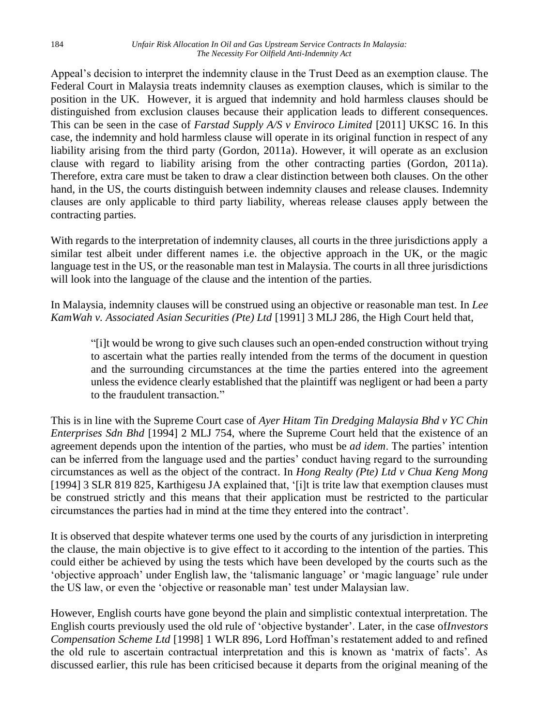Appeal's decision to interpret the indemnity clause in the Trust Deed as an exemption clause. The Federal Court in Malaysia treats indemnity clauses as exemption clauses, which is similar to the position in the UK. However, it is argued that indemnity and hold harmless clauses should be distinguished from exclusion clauses because their application leads to different consequences. This can be seen in the case of *Farstad Supply A/S v Enviroco Limited* [2011] UKSC 16. In this case, the indemnity and hold harmless clause will operate in its original function in respect of any liability arising from the third party (Gordon, 2011a). However, it will operate as an exclusion clause with regard to liability arising from the other contracting parties (Gordon, 2011a). Therefore, extra care must be taken to draw a clear distinction between both clauses. On the other hand, in the US, the courts distinguish between indemnity clauses and release clauses. Indemnity clauses are only applicable to third party liability, whereas release clauses apply between the contracting parties.

With regards to the interpretation of indemnity clauses, all courts in the three jurisdictions apply a similar test albeit under different names i.e. the objective approach in the UK, or the magic language test in the US, or the reasonable man test in Malaysia. The courts in all three jurisdictions will look into the language of the clause and the intention of the parties.

In Malaysia, indemnity clauses will be construed using an objective or reasonable man test. In *Lee KamWah v. Associated Asian Securities (Pte) Ltd* [1991] 3 MLJ 286, the High Court held that,

"[i]t would be wrong to give such clauses such an open-ended construction without trying to ascertain what the parties really intended from the terms of the document in question and the surrounding circumstances at the time the parties entered into the agreement unless the evidence clearly established that the plaintiff was negligent or had been a party to the fraudulent transaction."

This is in line with the Supreme Court case of *Ayer Hitam Tin Dredging Malaysia Bhd v YC Chin Enterprises Sdn Bhd* [1994] 2 MLJ 754, where the Supreme Court held that the existence of an agreement depends upon the intention of the parties, who must be *ad idem*. The parties' intention can be inferred from the language used and the parties' conduct having regard to the surrounding circumstances as well as the object of the contract. In *Hong Realty (Pte) Ltd v Chua Keng Mong* [1994] 3 SLR 819 825, Karthigesu JA explained that, '[i]t is trite law that exemption clauses must be construed strictly and this means that their application must be restricted to the particular circumstances the parties had in mind at the time they entered into the contract'.

It is observed that despite whatever terms one used by the courts of any jurisdiction in interpreting the clause, the main objective is to give effect to it according to the intention of the parties. This could either be achieved by using the tests which have been developed by the courts such as the 'objective approach' under English law, the 'talismanic language' or 'magic language' rule under the US law, or even the 'objective or reasonable man' test under Malaysian law.

However, English courts have gone beyond the plain and simplistic contextual interpretation. The English courts previously used the old rule of 'objective bystander'. Later, in the case of*Investors Compensation Scheme Ltd* [1998] 1 WLR 896, Lord Hoffman's restatement added to and refined the old rule to ascertain contractual interpretation and this is known as 'matrix of facts'. As discussed earlier, this rule has been criticised because it departs from the original meaning of the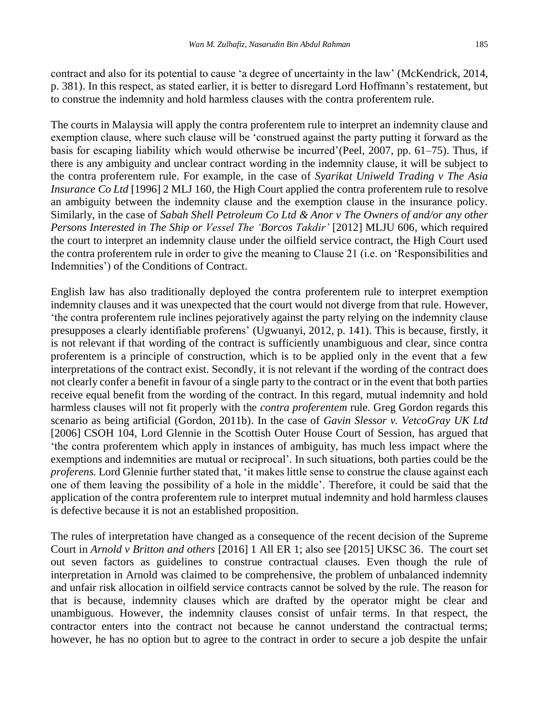contract and also for its potential to cause 'a degree of uncertainty in the law' (McKendrick, 2014, p. 381). In this respect, as stated earlier, it is better to disregard Lord Hoffmann's restatement, but to construe the indemnity and hold harmless clauses with the contra proferentem rule.

The courts in Malaysia will apply the contra proferentem rule to interpret an indemnity clause and exemption clause, where such clause will be 'construed against the party putting it forward as the basis for escaping liability which would otherwise be incurred'(Peel, 2007, pp. 61–75). Thus, if there is any ambiguity and unclear contract wording in the indemnity clause, it will be subject to the contra proferentem rule. For example, in the case of *Syarikat Uniweld Trading v The Asia Insurance Co Ltd* [1996] 2 MLJ 160*,* the High Court applied the contra proferentem rule to resolve an ambiguity between the indemnity clause and the exemption clause in the insurance policy. Similarly, in the case of *Sabah Shell Petroleum Co Ltd & Anor v The Owners of and/or any other Persons Interested in The Ship or Vessel The 'Borcos Takdir'* [2012] MLJU 606, which required the court to interpret an indemnity clause under the oilfield service contract, the High Court used the contra proferentem rule in order to give the meaning to Clause 21 (i.e. on 'Responsibilities and Indemnities') of the Conditions of Contract.

English law has also traditionally deployed the contra proferentem rule to interpret exemption indemnity clauses and it was unexpected that the court would not diverge from that rule. However, 'the contra proferentem rule inclines pejoratively against the party relying on the indemnity clause presupposes a clearly identifiable proferens' (Ugwuanyi, 2012, p. 141). This is because, firstly, it is not relevant if that wording of the contract is sufficiently unambiguous and clear, since contra proferentem is a principle of construction, which is to be applied only in the event that a few interpretations of the contract exist. Secondly, it is not relevant if the wording of the contract does not clearly confer a benefit in favour of a single party to the contract or in the event that both parties receive equal benefit from the wording of the contract. In this regard, mutual indemnity and hold harmless clauses will not fit properly with the *contra proferentem* rule. Greg Gordon regards this scenario as being artificial (Gordon, 2011b). In the case of *Gavin Slessor v. VetcoGray UK Ltd*  [2006] CSOH 104, Lord Glennie in the Scottish Outer House Court of Session, has argued that 'the contra proferentem which apply in instances of ambiguity, has much less impact where the exemptions and indemnities are mutual or reciprocal'. In such situations, both parties could be the *proferens.* Lord Glennie further stated that, 'it makes little sense to construe the clause against each one of them leaving the possibility of a hole in the middle'. Therefore, it could be said that the application of the contra proferentem rule to interpret mutual indemnity and hold harmless clauses is defective because it is not an established proposition.

The rules of interpretation have changed as a consequence of the recent decision of the Supreme Court in *Arnold v Britton and others* [2016] 1 All ER 1; also see [2015] UKSC 36. The court set out seven factors as guidelines to construe contractual clauses. Even though the rule of interpretation in Arnold was claimed to be comprehensive, the problem of unbalanced indemnity and unfair risk allocation in oilfield service contracts cannot be solved by the rule. The reason for that is because, indemnity clauses which are drafted by the operator might be clear and unambiguous. However, the indemnity clauses consist of unfair terms. In that respect, the contractor enters into the contract not because he cannot understand the contractual terms; however, he has no option but to agree to the contract in order to secure a job despite the unfair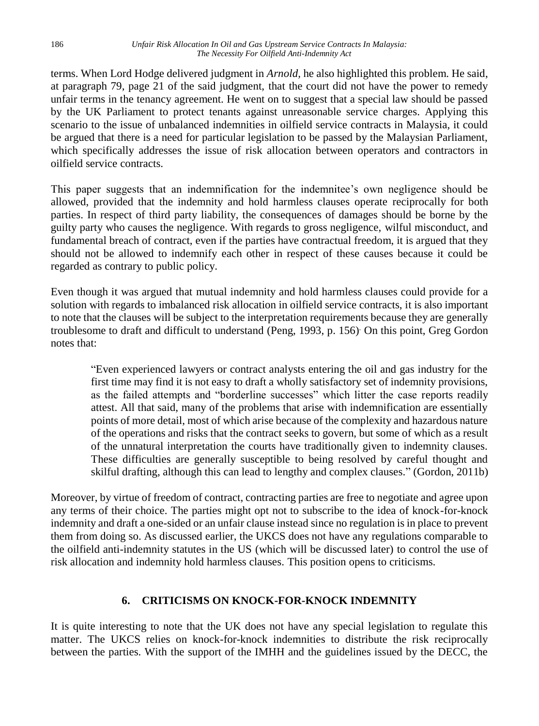terms. When Lord Hodge delivered judgment in *Arnold,* he also highlighted this problem. He said, at paragraph 79, page 21 of the said judgment, that the court did not have the power to remedy unfair terms in the tenancy agreement. He went on to suggest that a special law should be passed by the UK Parliament to protect tenants against unreasonable service charges. Applying this scenario to the issue of unbalanced indemnities in oilfield service contracts in Malaysia, it could be argued that there is a need for particular legislation to be passed by the Malaysian Parliament, which specifically addresses the issue of risk allocation between operators and contractors in oilfield service contracts.

This paper suggests that an indemnification for the indemnitee's own negligence should be allowed, provided that the indemnity and hold harmless clauses operate reciprocally for both parties. In respect of third party liability, the consequences of damages should be borne by the guilty party who causes the negligence. With regards to gross negligence, wilful misconduct, and fundamental breach of contract, even if the parties have contractual freedom, it is argued that they should not be allowed to indemnify each other in respect of these causes because it could be regarded as contrary to public policy.

Even though it was argued that mutual indemnity and hold harmless clauses could provide for a solution with regards to imbalanced risk allocation in oilfield service contracts, it is also important to note that the clauses will be subject to the interpretation requirements because they are generally troublesome to draft and difficult to understand (Peng, 1993, p. 156). On this point, Greg Gordon notes that:

"Even experienced lawyers or contract analysts entering the oil and gas industry for the first time may find it is not easy to draft a wholly satisfactory set of indemnity provisions, as the failed attempts and "borderline successes" which litter the case reports readily attest. All that said, many of the problems that arise with indemnification are essentially points of more detail, most of which arise because of the complexity and hazardous nature of the operations and risks that the contract seeks to govern, but some of which as a result of the unnatural interpretation the courts have traditionally given to indemnity clauses. These difficulties are generally susceptible to being resolved by careful thought and skilful drafting, although this can lead to lengthy and complex clauses." (Gordon, 2011b)

Moreover, by virtue of freedom of contract, contracting parties are free to negotiate and agree upon any terms of their choice. The parties might opt not to subscribe to the idea of knock-for-knock indemnity and draft a one-sided or an unfair clause instead since no regulation is in place to prevent them from doing so. As discussed earlier, the UKCS does not have any regulations comparable to the oilfield anti-indemnity statutes in the US (which will be discussed later) to control the use of risk allocation and indemnity hold harmless clauses. This position opens to criticisms.

### **6. CRITICISMS ON KNOCK-FOR-KNOCK INDEMNITY**

It is quite interesting to note that the UK does not have any special legislation to regulate this matter. The UKCS relies on knock-for-knock indemnities to distribute the risk reciprocally between the parties. With the support of the IMHH and the guidelines issued by the DECC, the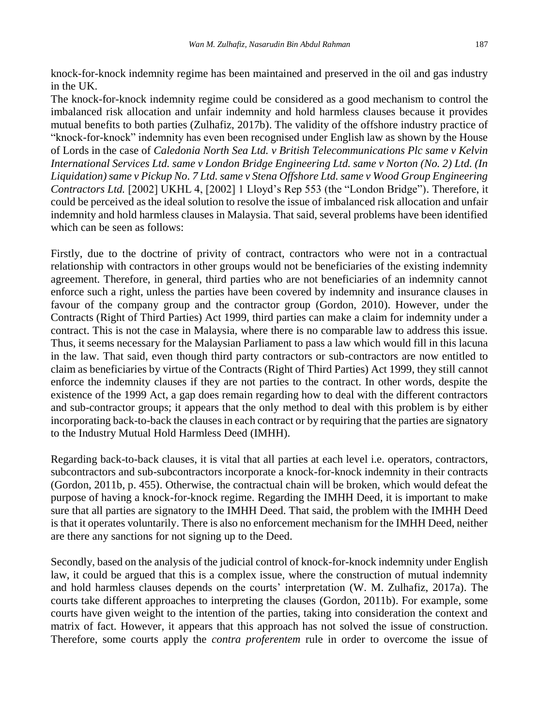knock-for-knock indemnity regime has been maintained and preserved in the oil and gas industry in the UK.

The knock-for-knock indemnity regime could be considered as a good mechanism to control the imbalanced risk allocation and unfair indemnity and hold harmless clauses because it provides mutual benefits to both parties (Zulhafiz, 2017b). The validity of the offshore industry practice of "knock-for-knock" indemnity has even been recognised under English law as shown by the House of Lords in the case of *Caledonia North Sea Ltd. v British Telecommunications Plc same v Kelvin International Services Ltd. same v London Bridge Engineering Ltd. same v Norton (No. 2) Ltd. (In Liquidation) same v Pickup No. 7 Ltd. same v Stena Offshore Ltd. same v Wood Group Engineering Contractors Ltd.* [2002] UKHL 4, [2002] 1 Lloyd's Rep 553 (the "London Bridge")*.* Therefore, it could be perceived as the ideal solution to resolve the issue of imbalanced risk allocation and unfair indemnity and hold harmless clauses in Malaysia. That said, several problems have been identified which can be seen as follows:

Firstly, due to the doctrine of privity of contract, contractors who were not in a contractual relationship with contractors in other groups would not be beneficiaries of the existing indemnity agreement. Therefore, in general, third parties who are not beneficiaries of an indemnity cannot enforce such a right, unless the parties have been covered by indemnity and insurance clauses in favour of the company group and the contractor group (Gordon, 2010). However, under the Contracts (Right of Third Parties) Act 1999, third parties can make a claim for indemnity under a contract. This is not the case in Malaysia, where there is no comparable law to address this issue. Thus, it seems necessary for the Malaysian Parliament to pass a law which would fill in this lacuna in the law. That said, even though third party contractors or sub-contractors are now entitled to claim as beneficiaries by virtue of the Contracts (Right of Third Parties) Act 1999, they still cannot enforce the indemnity clauses if they are not parties to the contract. In other words, despite the existence of the 1999 Act, a gap does remain regarding how to deal with the different contractors and sub-contractor groups; it appears that the only method to deal with this problem is by either incorporating back-to-back the clauses in each contract or by requiring that the parties are signatory to the Industry Mutual Hold Harmless Deed (IMHH).

Regarding back-to-back clauses, it is vital that all parties at each level i.e. operators, contractors, subcontractors and sub-subcontractors incorporate a knock-for-knock indemnity in their contracts (Gordon, 2011b, p. 455). Otherwise, the contractual chain will be broken, which would defeat the purpose of having a knock-for-knock regime. Regarding the IMHH Deed, it is important to make sure that all parties are signatory to the IMHH Deed. That said, the problem with the IMHH Deed is that it operates voluntarily. There is also no enforcement mechanism for the IMHH Deed, neither are there any sanctions for not signing up to the Deed.

Secondly, based on the analysis of the judicial control of knock-for-knock indemnity under English law, it could be argued that this is a complex issue, where the construction of mutual indemnity and hold harmless clauses depends on the courts' interpretation (W. M. Zulhafiz, 2017a). The courts take different approaches to interpreting the clauses (Gordon, 2011b). For example, some courts have given weight to the intention of the parties, taking into consideration the context and matrix of fact. However, it appears that this approach has not solved the issue of construction. Therefore, some courts apply the *contra proferentem* rule in order to overcome the issue of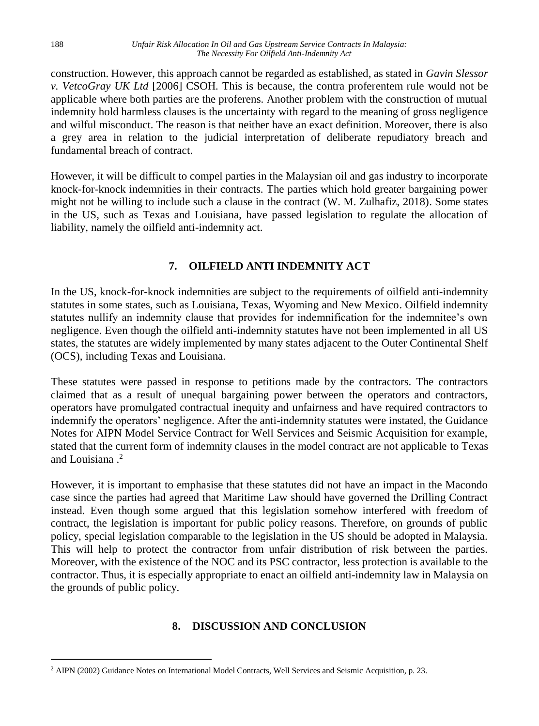construction. However, this approach cannot be regarded as established, as stated in *Gavin Slessor v. VetcoGray UK Ltd* [2006] CSOH*.* This is because, the contra proferentem rule would not be applicable where both parties are the proferens. Another problem with the construction of mutual indemnity hold harmless clauses is the uncertainty with regard to the meaning of gross negligence and wilful misconduct. The reason is that neither have an exact definition. Moreover, there is also a grey area in relation to the judicial interpretation of deliberate repudiatory breach and fundamental breach of contract.

However, it will be difficult to compel parties in the Malaysian oil and gas industry to incorporate knock-for-knock indemnities in their contracts. The parties which hold greater bargaining power might not be willing to include such a clause in the contract (W. M. Zulhafiz, 2018). Some states in the US, such as Texas and Louisiana, have passed legislation to regulate the allocation of liability, namely the oilfield anti-indemnity act.

# **7. OILFIELD ANTI INDEMNITY ACT**

In the US, knock-for-knock indemnities are subject to the requirements of oilfield anti-indemnity statutes in some states, such as Louisiana, Texas, Wyoming and New Mexico. Oilfield indemnity statutes nullify an indemnity clause that provides for indemnification for the indemnitee's own negligence. Even though the oilfield anti-indemnity statutes have not been implemented in all US states, the statutes are widely implemented by many states adjacent to the Outer Continental Shelf (OCS), including Texas and Louisiana.

These statutes were passed in response to petitions made by the contractors. The contractors claimed that as a result of unequal bargaining power between the operators and contractors, operators have promulgated contractual inequity and unfairness and have required contractors to indemnify the operators' negligence. After the anti-indemnity statutes were instated, the Guidance Notes for AIPN Model Service Contract for Well Services and Seismic Acquisition for example, stated that the current form of indemnity clauses in the model contract are not applicable to Texas and Louisiana . 2

However, it is important to emphasise that these statutes did not have an impact in the Macondo case since the parties had agreed that Maritime Law should have governed the Drilling Contract instead. Even though some argued that this legislation somehow interfered with freedom of contract, the legislation is important for public policy reasons. Therefore, on grounds of public policy, special legislation comparable to the legislation in the US should be adopted in Malaysia. This will help to protect the contractor from unfair distribution of risk between the parties. Moreover, with the existence of the NOC and its PSC contractor, less protection is available to the contractor. Thus, it is especially appropriate to enact an oilfield anti-indemnity law in Malaysia on the grounds of public policy.

# **8. DISCUSSION AND CONCLUSION**

1

<sup>2</sup> AIPN (2002) Guidance Notes on International Model Contracts, Well Services and Seismic Acquisition, p. 23.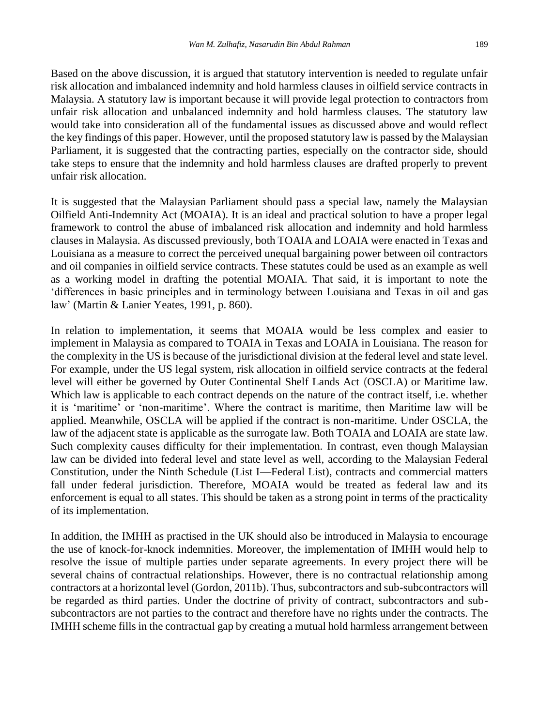Based on the above discussion, it is argued that statutory intervention is needed to regulate unfair risk allocation and imbalanced indemnity and hold harmless clauses in oilfield service contracts in Malaysia. A statutory law is important because it will provide legal protection to contractors from unfair risk allocation and unbalanced indemnity and hold harmless clauses. The statutory law would take into consideration all of the fundamental issues as discussed above and would reflect the key findings of this paper. However, until the proposed statutory law is passed by the Malaysian Parliament, it is suggested that the contracting parties, especially on the contractor side, should take steps to ensure that the indemnity and hold harmless clauses are drafted properly to prevent unfair risk allocation.

It is suggested that the Malaysian Parliament should pass a special law, namely the Malaysian Oilfield Anti-Indemnity Act (MOAIA). It is an ideal and practical solution to have a proper legal framework to control the abuse of imbalanced risk allocation and indemnity and hold harmless clauses in Malaysia. As discussed previously, both TOAIA and LOAIA were enacted in Texas and Louisiana as a measure to correct the perceived unequal bargaining power between oil contractors and oil companies in oilfield service contracts. These statutes could be used as an example as well as a working model in drafting the potential MOAIA. That said, it is important to note the 'differences in basic principles and in terminology between Louisiana and Texas in oil and gas law' (Martin & Lanier Yeates, 1991, p. 860).

In relation to implementation, it seems that MOAIA would be less complex and easier to implement in Malaysia as compared to TOAIA in Texas and LOAIA in Louisiana. The reason for the complexity in the US is because of the jurisdictional division at the federal level and state level. For example, under the US legal system, risk allocation in oilfield service contracts at the federal level will either be governed by Outer Continental Shelf Lands Act (OSCLA) or Maritime law. Which law is applicable to each contract depends on the nature of the contract itself, i.e. whether it is 'maritime' or 'non-maritime'. Where the contract is maritime, then Maritime law will be applied. Meanwhile, OSCLA will be applied if the contract is non-maritime. Under OSCLA, the law of the adjacent state is applicable as the surrogate law. Both TOAIA and LOAIA are state law. Such complexity causes difficulty for their implementation. In contrast, even though Malaysian law can be divided into federal level and state level as well, according to the Malaysian Federal Constitution, under the Ninth Schedule (List I—Federal List), contracts and commercial matters fall under federal jurisdiction. Therefore, MOAIA would be treated as federal law and its enforcement is equal to all states. This should be taken as a strong point in terms of the practicality of its implementation.

In addition, the IMHH as practised in the UK should also be introduced in Malaysia to encourage the use of knock-for-knock indemnities. Moreover, the implementation of IMHH would help to resolve the issue of multiple parties under separate agreements. In every project there will be several chains of contractual relationships. However, there is no contractual relationship among contractors at a horizontal level (Gordon, 2011b). Thus, subcontractors and sub-subcontractors will be regarded as third parties. Under the doctrine of privity of contract, subcontractors and subsubcontractors are not parties to the contract and therefore have no rights under the contracts. The IMHH scheme fills in the contractual gap by creating a mutual hold harmless arrangement between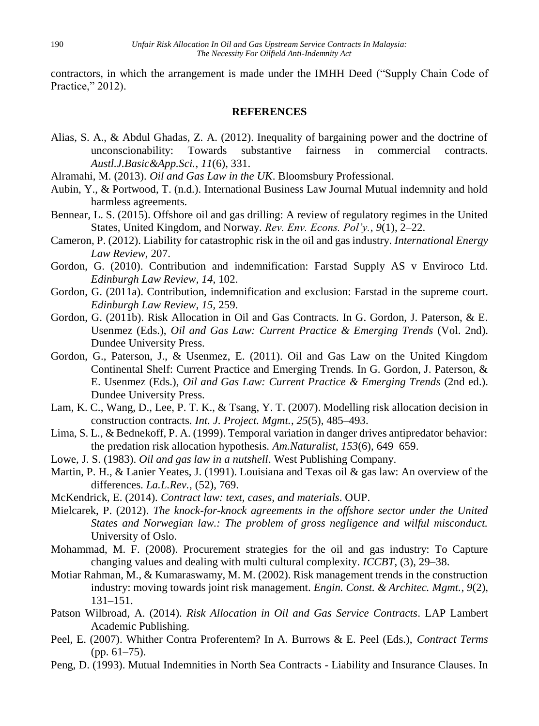contractors, in which the arrangement is made under the IMHH Deed ("Supply Chain Code of Practice," 2012).

#### **REFERENCES**

- Alias, S. A., & Abdul Ghadas, Z. A. (2012). Inequality of bargaining power and the doctrine of unconscionability: Towards substantive fairness in commercial contracts. *Austl.J.Basic&App.Sci.*, *11*(6), 331.
- Alramahi, M. (2013). *Oil and Gas Law in the UK*. Bloomsbury Professional.
- Aubin, Y., & Portwood, T. (n.d.). International Business Law Journal Mutual indemnity and hold harmless agreements.
- Bennear, L. S. (2015). Offshore oil and gas drilling: A review of regulatory regimes in the United States, United Kingdom, and Norway. *Rev. Env. Econs. Pol'y.*, *9*(1), 2–22.
- Cameron, P. (2012). Liability for catastrophic risk in the oil and gas industry. *International Energy Law Review*, 207.
- Gordon, G. (2010). Contribution and indemnification: Farstad Supply AS v Enviroco Ltd. *Edinburgh Law Review*, *14*, 102.
- Gordon, G. (2011a). Contribution, indemnification and exclusion: Farstad in the supreme court. *Edinburgh Law Review*, *15*, 259.
- Gordon, G. (2011b). Risk Allocation in Oil and Gas Contracts. In G. Gordon, J. Paterson, & E. Usenmez (Eds.), *Oil and Gas Law: Current Practice & Emerging Trends* (Vol. 2nd). Dundee University Press.
- Gordon, G., Paterson, J., & Usenmez, E. (2011). Oil and Gas Law on the United Kingdom Continental Shelf: Current Practice and Emerging Trends. In G. Gordon, J. Paterson, & E. Usenmez (Eds.), *Oil and Gas Law: Current Practice & Emerging Trends* (2nd ed.). Dundee University Press.
- Lam, K. C., Wang, D., Lee, P. T. K., & Tsang, Y. T. (2007). Modelling risk allocation decision in construction contracts. *Int. J. Project. Mgmt.*, *25*(5), 485–493.
- Lima, S. L., & Bednekoff, P. A. (1999). Temporal variation in danger drives antipredator behavior: the predation risk allocation hypothesis. *Am.Naturalist*, *153*(6), 649–659.
- Lowe, J. S. (1983). *Oil and gas law in a nutshell*. West Publishing Company.
- Martin, P. H., & Lanier Yeates, J. (1991). Louisiana and Texas oil & gas law: An overview of the differences. *La.L.Rev.*, (52), 769.
- McKendrick, E. (2014). *Contract law: text, cases, and materials*. OUP.
- Mielcarek, P. (2012). *The knock-for-knock agreements in the offshore sector under the United States and Norwegian law.: The problem of gross negligence and wilful misconduct.* University of Oslo.
- Mohammad, M. F. (2008). Procurement strategies for the oil and gas industry: To Capture changing values and dealing with multi cultural complexity. *ICCBT*, (3), 29–38.
- Motiar Rahman, M., & Kumaraswamy, M. M. (2002). Risk management trends in the construction industry: moving towards joint risk management. *Engin. Const. & Architec. Mgmt.*, *9*(2), 131–151.
- Patson Wilbroad, A. (2014). *Risk Allocation in Oil and Gas Service Contracts*. LAP Lambert Academic Publishing.
- Peel, E. (2007). Whither Contra Proferentem? In A. Burrows & E. Peel (Eds.), *Contract Terms* (pp. 61–75).
- Peng, D. (1993). Mutual Indemnities in North Sea Contracts Liability and Insurance Clauses. In